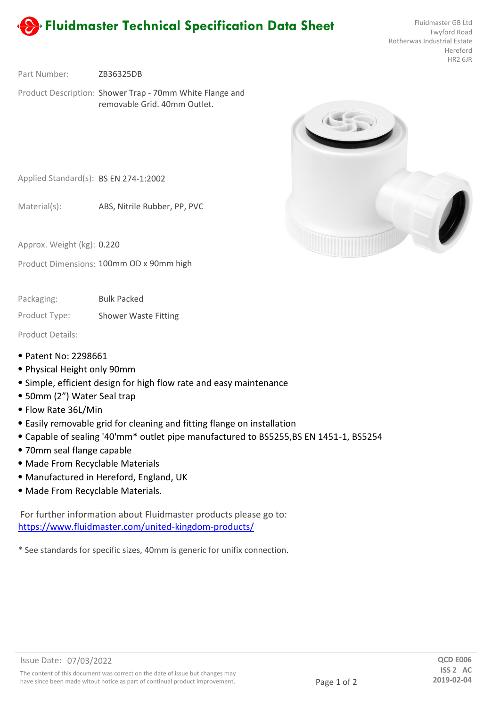

Twyford Road Rotherwas Industrial Estate Hereford HR2 6JR

ZB36325DB Part Number:

Product Description: Shower Trap - 70mm White Flange and removable Grid. 40mm Outlet.



Applied Standard(s): BS EN 274-1:2002

ABS, Nitrile Rubber, PP, PVC Material(s):

Approx. Weight (kg): **0.220** 

Product Dimensions: 100mm OD x 90mm high

Bulk Packed Packaging:

Product Type: Shower Waste Fitting

Product Details:

- ⦁ Patent No: 2298661
- ⦁ Physical Height only 90mm
- ⦁ Simple, efficient design for high flow rate and easy maintenance
- ⦁ 50mm (2") Water Seal trap
- ⦁ Flow Rate 36L/Min
- ⦁ Easily removable grid for cleaning and fitting flange on installation
- ⦁ Capable of sealing '40'mm\* outlet pipe manufactured to BS5255,BS EN 1451-1, BS5254
- ⦁ 70mm seal flange capable
- ⦁ Made From Recyclable Materials
- ⦁ Manufactured in Hereford, England, UK
- ⦁ Made From Recyclable Materials.

For further information about Fluidmaster products please go to: https://www.fluidmaster.com/united-kingdom-products/

\* See standards for specific sizes, 40mm is generic for unifix connection.

have since been made witout notice as part of continual product improvement.